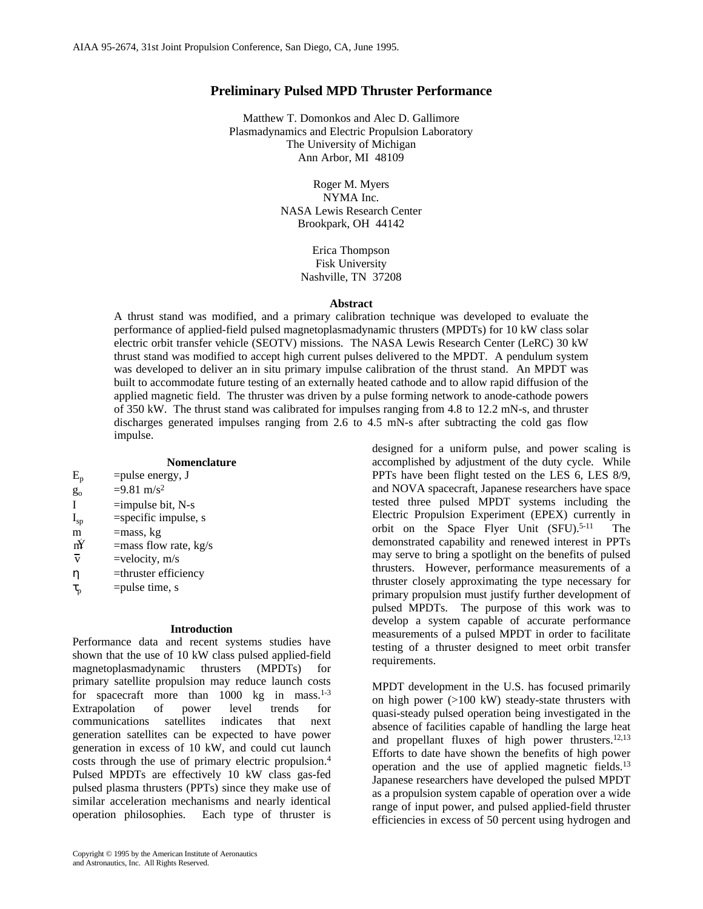# **Preliminary Pulsed MPD Thruster Performance**

Matthew T. Domonkos and Alec D. Gallimore Plasmadynamics and Electric Propulsion Laboratory The University of Michigan Ann Arbor, MI 48109

> Roger M. Myers NYMA Inc. NASA Lewis Research Center Brookpark, OH 44142

> > Erica Thompson Fisk University Nashville, TN 37208

#### **Abstract**

A thrust stand was modified, and a primary calibration technique was developed to evaluate the performance of applied-field pulsed magnetoplasmadynamic thrusters (MPDTs) for 10 kW class solar electric orbit transfer vehicle (SEOTV) missions. The NASA Lewis Research Center (LeRC) 30 kW thrust stand was modified to accept high current pulses delivered to the MPDT. A pendulum system was developed to deliver an in situ primary impulse calibration of the thrust stand. An MPDT was built to accommodate future testing of an externally heated cathode and to allow rapid diffusion of the applied magnetic field. The thruster was driven by a pulse forming network to anode-cathode powers of 350 kW. The thrust stand was calibrated for impulses ranging from 4.8 to 12.2 mN-s, and thruster discharges generated impulses ranging from 2.6 to 4.5 mN-s after subtracting the cold gas flow impulse.

# **Nomenclature**

| $E_{p}$ | $=$ pulse energy, J   |
|---------|-----------------------|
| $g_{o}$ | $=9.81 \text{ m/s}^2$ |

- I  $=$ impulse bit, N-s
- $I_{sp}$  =specific impulse, s
- m =mass, kg
- $m<sup>Y</sup>$  =mass flow rate, kg/s
- $\overline{v}$  =velocity, m/s
- η =thruster efficiency
- $\tau_p$  =pulse time, s

#### **Introduction**

Performance data and recent systems studies have shown that the use of 10 kW class pulsed applied-field magnetoplasmadynamic thrusters (MPDTs) for primary satellite propulsion may reduce launch costs for spacecraft more than  $1000 \text{ kg}$  in mass.<sup>1-3</sup> Extrapolation of power level trends for communications satellites indicates that next generation satellites can be expected to have power generation in excess of 10 kW, and could cut launch costs through the use of primary electric propulsion.<sup>4</sup> Pulsed MPDTs are effectively 10 kW class gas-fed pulsed plasma thrusters (PPTs) since they make use of similar acceleration mechanisms and nearly identical operation philosophies. Each type of thruster is

designed for a uniform pulse, and power scaling is accomplished by adjustment of the duty cycle. While PPTs have been flight tested on the LES 6, LES 8/9, and NOVA spacecraft, Japanese researchers have space tested three pulsed MPDT systems including the Electric Propulsion Experiment (EPEX) currently in orbit on the Space Flyer Unit (SFU).<sup>5-11</sup> The demonstrated capability and renewed interest in PPTs may serve to bring a spotlight on the benefits of pulsed thrusters. However, performance measurements of a thruster closely approximating the type necessary for primary propulsion must justify further development of pulsed MPDTs. The purpose of this work was to develop a system capable of accurate performance measurements of a pulsed MPDT in order to facilitate testing of a thruster designed to meet orbit transfer requirements.

MPDT development in the U.S. has focused primarily on high power (>100 kW) steady-state thrusters with quasi-steady pulsed operation being investigated in the absence of facilities capable of handling the large heat and propellant fluxes of high power thrusters. $12,13$ Efforts to date have shown the benefits of high power operation and the use of applied magnetic fields.<sup>13</sup> Japanese researchers have developed the pulsed MPDT as a propulsion system capable of operation over a wide range of input power, and pulsed applied-field thruster efficiencies in excess of 50 percent using hydrogen and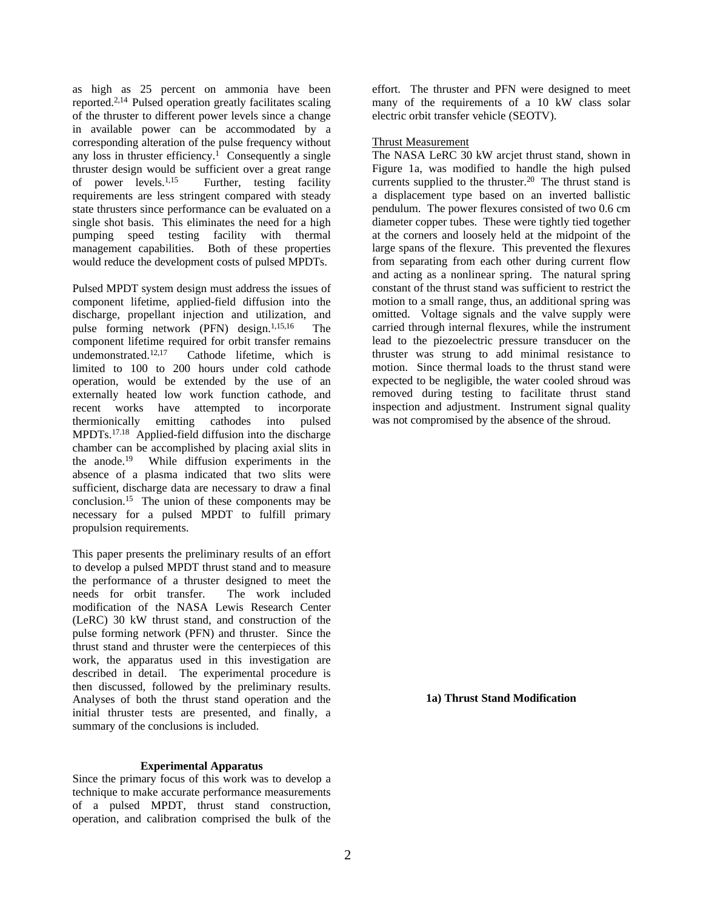as high as 25 percent on ammonia have been reported.2,14 Pulsed operation greatly facilitates scaling of the thruster to different power levels since a change in available power can be accommodated by a corresponding alteration of the pulse frequency without any loss in thruster efficiency.<sup>1</sup> Consequently a single thruster design would be sufficient over a great range of power levels.1,15 Further, testing facility requirements are less stringent compared with steady state thrusters since performance can be evaluated on a single shot basis. This eliminates the need for a high pumping speed testing facility with thermal management capabilities. Both of these properties would reduce the development costs of pulsed MPDTs.

Pulsed MPDT system design must address the issues of component lifetime, applied-field diffusion into the discharge, propellant injection and utilization, and pulse forming network (PFN) design.<sup>1,15,16</sup> The component lifetime required for orbit transfer remains undemonstrated.<sup>12,17</sup> Cathode lifetime, which is limited to 100 to 200 hours under cold cathode operation, would be extended by the use of an externally heated low work function cathode, and recent works have attempted to incorporate thermionically emitting cathodes into pulsed MPDTs.17.18 Applied-field diffusion into the discharge chamber can be accomplished by placing axial slits in the anode.<sup>19</sup> While diffusion experiments in the absence of a plasma indicated that two slits were sufficient, discharge data are necessary to draw a final conclusion.<sup>15</sup> The union of these components may be necessary for a pulsed MPDT to fulfill primary propulsion requirements.

This paper presents the preliminary results of an effort to develop a pulsed MPDT thrust stand and to measure the performance of a thruster designed to meet the needs for orbit transfer. The work included needs for orbit transfer. modification of the NASA Lewis Research Center (LeRC) 30 kW thrust stand, and construction of the pulse forming network (PFN) and thruster. Since the thrust stand and thruster were the centerpieces of this work, the apparatus used in this investigation are described in detail. The experimental procedure is then discussed, followed by the preliminary results. Analyses of both the thrust stand operation and the initial thruster tests are presented, and finally, a summary of the conclusions is included.

### **Experimental Apparatus**

Since the primary focus of this work was to develop a technique to make accurate performance measurements of a pulsed MPDT, thrust stand construction, operation, and calibration comprised the bulk of the effort. The thruster and PFN were designed to meet many of the requirements of a 10 kW class solar electric orbit transfer vehicle (SEOTV).

# Thrust Measurement

The NASA LeRC 30 kW arcjet thrust stand, shown in Figure 1a, was modified to handle the high pulsed currents supplied to the thruster.<sup>20</sup> The thrust stand is a displacement type based on an inverted ballistic pendulum. The power flexures consisted of two 0.6 cm diameter copper tubes. These were tightly tied together at the corners and loosely held at the midpoint of the large spans of the flexure. This prevented the flexures from separating from each other during current flow and acting as a nonlinear spring. The natural spring constant of the thrust stand was sufficient to restrict the motion to a small range, thus, an additional spring was omitted. Voltage signals and the valve supply were carried through internal flexures, while the instrument lead to the piezoelectric pressure transducer on the thruster was strung to add minimal resistance to motion. Since thermal loads to the thrust stand were expected to be negligible, the water cooled shroud was removed during testing to facilitate thrust stand inspection and adjustment. Instrument signal quality was not compromised by the absence of the shroud.

**1a) Thrust Stand Modification**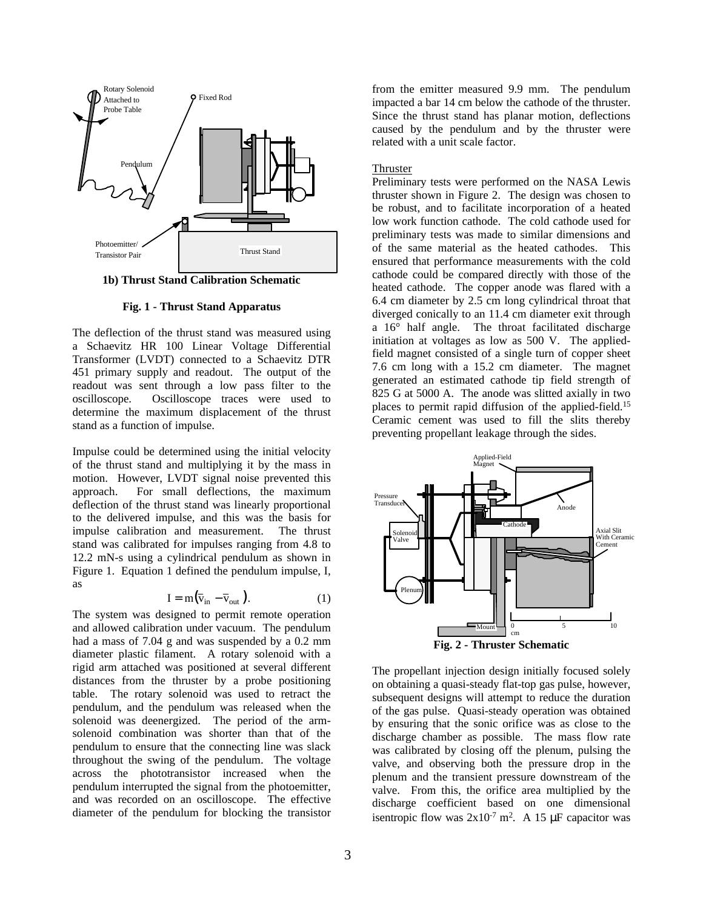

**1b) Thrust Stand Calibration Schematic**

**Fig. 1 - Thrust Stand Apparatus**

The deflection of the thrust stand was measured using a Schaevitz HR 100 Linear Voltage Differential Transformer (LVDT) connected to a Schaevitz DTR 451 primary supply and readout. The output of the readout was sent through a low pass filter to the oscilloscope. Oscilloscope traces were used to determine the maximum displacement of the thrust stand as a function of impulse.

Impulse could be determined using the initial velocity of the thrust stand and multiplying it by the mass in motion. However, LVDT signal noise prevented this approach. For small deflections, the maximum deflection of the thrust stand was linearly proportional to the delivered impulse, and this was the basis for impulse calibration and measurement. The thrust stand was calibrated for impulses ranging from 4.8 to 12.2 mN-s using a cylindrical pendulum as shown in Figure 1. Equation 1 defined the pendulum impulse, I, as

$$
I = m(\overline{v}_{in} - \overline{v}_{out}).
$$
 (1)

The system was designed to permit remote operation and allowed calibration under vacuum. The pendulum had a mass of 7.04 g and was suspended by a 0.2 mm diameter plastic filament. A rotary solenoid with a rigid arm attached was positioned at several different distances from the thruster by a probe positioning table. The rotary solenoid was used to retract the pendulum, and the pendulum was released when the solenoid was deenergized. The period of the armsolenoid combination was shorter than that of the pendulum to ensure that the connecting line was slack throughout the swing of the pendulum. The voltage across the phototransistor increased when the pendulum interrupted the signal from the photoemitter, and was recorded on an oscilloscope. The effective diameter of the pendulum for blocking the transistor from the emitter measured 9.9 mm. The pendulum impacted a bar 14 cm below the cathode of the thruster. Since the thrust stand has planar motion, deflections caused by the pendulum and by the thruster were related with a unit scale factor.

# Thruster

Preliminary tests were performed on the NASA Lewis thruster shown in Figure 2. The design was chosen to be robust, and to facilitate incorporation of a heated low work function cathode. The cold cathode used for preliminary tests was made to similar dimensions and of the same material as the heated cathodes. This ensured that performance measurements with the cold cathode could be compared directly with those of the heated cathode. The copper anode was flared with a 6.4 cm diameter by 2.5 cm long cylindrical throat that diverged conically to an 11.4 cm diameter exit through a 16° half angle. The throat facilitated discharge initiation at voltages as low as 500 V. The appliedfield magnet consisted of a single turn of copper sheet 7.6 cm long with a 15.2 cm diameter. The magnet generated an estimated cathode tip field strength of 825 G at 5000 A. The anode was slitted axially in two places to permit rapid diffusion of the applied-field.<sup>15</sup> Ceramic cement was used to fill the slits thereby preventing propellant leakage through the sides.



The propellant injection design initially focused solely on obtaining a quasi-steady flat-top gas pulse, however, subsequent designs will attempt to reduce the duration of the gas pulse. Quasi-steady operation was obtained by ensuring that the sonic orifice was as close to the discharge chamber as possible. The mass flow rate was calibrated by closing off the plenum, pulsing the valve, and observing both the pressure drop in the plenum and the transient pressure downstream of the valve. From this, the orifice area multiplied by the discharge coefficient based on one dimensional isentropic flow was  $2x10^{-7}$  m<sup>2</sup>. A 15  $\mu$ F capacitor was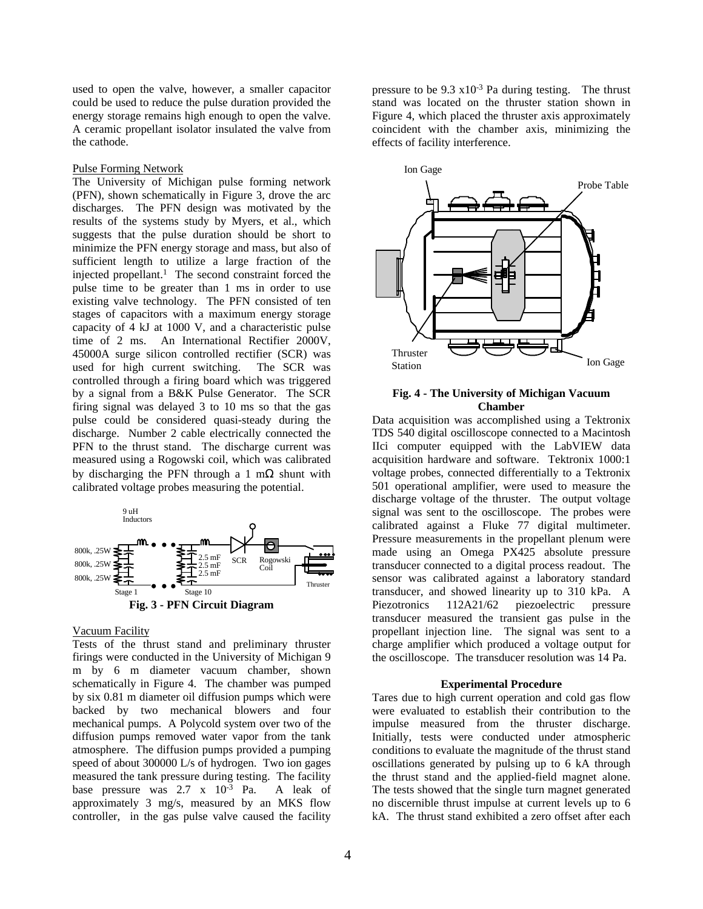used to open the valve, however, a smaller capacitor could be used to reduce the pulse duration provided the energy storage remains high enough to open the valve. A ceramic propellant isolator insulated the valve from the cathode.

# Pulse Forming Network

The University of Michigan pulse forming network (PFN), shown schematically in Figure 3, drove the arc discharges. The PFN design was motivated by the results of the systems study by Myers, et al., which suggests that the pulse duration should be short to minimize the PFN energy storage and mass, but also of sufficient length to utilize a large fraction of the injected propellant.<sup>1</sup> The second constraint forced the pulse time to be greater than 1 ms in order to use existing valve technology. The PFN consisted of ten stages of capacitors with a maximum energy storage capacity of 4 kJ at 1000 V, and a characteristic pulse time of 2 ms. An International Rectifier 2000V, 45000A surge silicon controlled rectifier (SCR) was used for high current switching. The SCR was controlled through a firing board which was triggered by a signal from a B&K Pulse Generator. The SCR firing signal was delayed 3 to 10 ms so that the gas pulse could be considered quasi-steady during the discharge. Number 2 cable electrically connected the PFN to the thrust stand. The discharge current was measured using a Rogowski coil, which was calibrated by discharging the PFN through a 1 m $\Omega$  shunt with calibrated voltage probes measuring the potential.



#### Vacuum Facility

Tests of the thrust stand and preliminary thruster firings were conducted in the University of Michigan 9 m by 6 m diameter vacuum chamber, shown schematically in Figure 4. The chamber was pumped by six 0.81 m diameter oil diffusion pumps which were backed by two mechanical blowers and four mechanical pumps. A Polycold system over two of the diffusion pumps removed water vapor from the tank atmosphere. The diffusion pumps provided a pumping speed of about 300000 L/s of hydrogen. Two ion gages measured the tank pressure during testing. The facility base pressure was 2.7 x 10-3 Pa. A leak of approximately 3 mg/s, measured by an MKS flow controller, in the gas pulse valve caused the facility

pressure to be  $9.3 \times 10^{-3}$  Pa during testing. The thrust stand was located on the thruster station shown in Figure 4, which placed the thruster axis approximately coincident with the chamber axis, minimizing the effects of facility interference.



### **Fig. 4 - The University of Michigan Vacuum Chamber**

Data acquisition was accomplished using a Tektronix TDS 540 digital oscilloscope connected to a Macintosh IIci computer equipped with the LabVIEW data acquisition hardware and software. Tektronix 1000:1 voltage probes, connected differentially to a Tektronix 501 operational amplifier, were used to measure the discharge voltage of the thruster. The output voltage signal was sent to the oscilloscope. The probes were calibrated against a Fluke 77 digital multimeter. Pressure measurements in the propellant plenum were made using an Omega PX425 absolute pressure transducer connected to a digital process readout. The sensor was calibrated against a laboratory standard transducer, and showed linearity up to 310 kPa. A Piezotronics 112A21/62 piezoelectric pressure transducer measured the transient gas pulse in the propellant injection line. The signal was sent to a charge amplifier which produced a voltage output for the oscilloscope. The transducer resolution was 14 Pa.

#### **Experimental Procedure**

Tares due to high current operation and cold gas flow were evaluated to establish their contribution to the impulse measured from the thruster discharge. Initially, tests were conducted under atmospheric conditions to evaluate the magnitude of the thrust stand oscillations generated by pulsing up to 6 kA through the thrust stand and the applied-field magnet alone. The tests showed that the single turn magnet generated no discernible thrust impulse at current levels up to 6 kA. The thrust stand exhibited a zero offset after each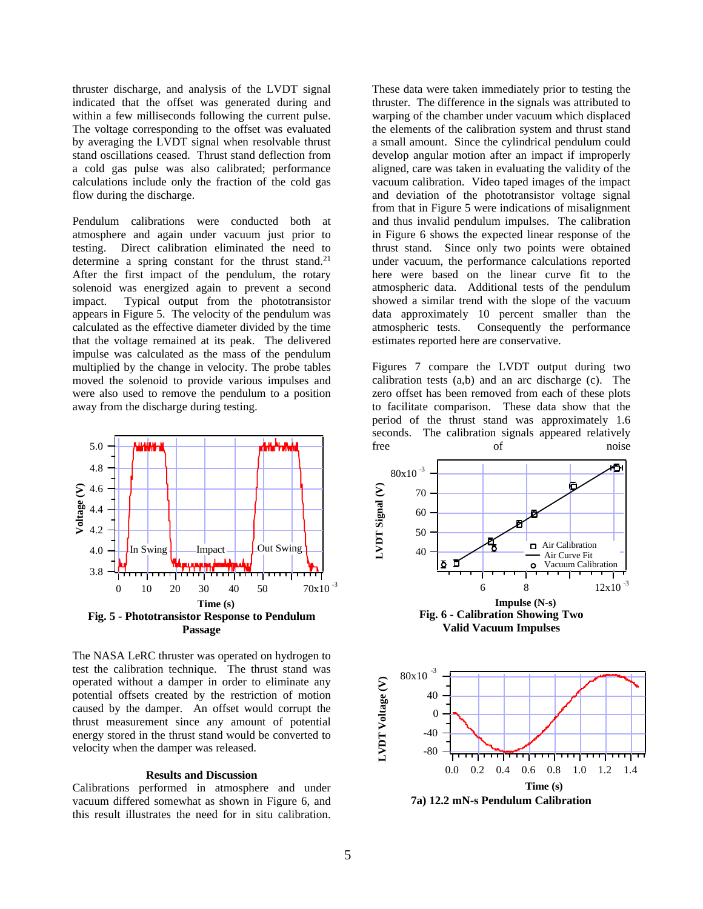thruster discharge, and analysis of the LVDT signal indicated that the offset was generated during and within a few milliseconds following the current pulse. The voltage corresponding to the offset was evaluated by averaging the LVDT signal when resolvable thrust stand oscillations ceased. Thrust stand deflection from a cold gas pulse was also calibrated; performance calculations include only the fraction of the cold gas flow during the discharge.

Pendulum calibrations were conducted both at atmosphere and again under vacuum just prior to testing. Direct calibration eliminated the need to determine a spring constant for the thrust stand.<sup>21</sup> After the first impact of the pendulum, the rotary solenoid was energized again to prevent a second impact. Typical output from the phototransistor appears in Figure 5. The velocity of the pendulum was calculated as the effective diameter divided by the time that the voltage remained at its peak. The delivered impulse was calculated as the mass of the pendulum multiplied by the change in velocity. The probe tables moved the solenoid to provide various impulses and were also used to remove the pendulum to a position away from the discharge during testing.



The NASA LeRC thruster was operated on hydrogen to test the calibration technique. The thrust stand was operated without a damper in order to eliminate any potential offsets created by the restriction of motion caused by the damper. An offset would corrupt the thrust measurement since any amount of potential energy stored in the thrust stand would be converted to velocity when the damper was released.

## **Results and Discussion**

Calibrations performed in atmosphere and under vacuum differed somewhat as shown in Figure 6, and this result illustrates the need for in situ calibration. These data were taken immediately prior to testing the thruster. The difference in the signals was attributed to warping of the chamber under vacuum which displaced the elements of the calibration system and thrust stand a small amount. Since the cylindrical pendulum could develop angular motion after an impact if improperly aligned, care was taken in evaluating the validity of the vacuum calibration. Video taped images of the impact and deviation of the phototransistor voltage signal from that in Figure 5 were indications of misalignment and thus invalid pendulum impulses. The calibration in Figure 6 shows the expected linear response of the thrust stand. Since only two points were obtained under vacuum, the performance calculations reported here were based on the linear curve fit to the atmospheric data. Additional tests of the pendulum showed a similar trend with the slope of the vacuum data approximately 10 percent smaller than the atmospheric tests. Consequently the performance estimates reported here are conservative.

Figures 7 compare the LVDT output during two calibration tests (a,b) and an arc discharge (c). The zero offset has been removed from each of these plots to facilitate comparison. These data show that the period of the thrust stand was approximately 1.6 seconds. The calibration signals appeared relatively free of noise



**7a) 12.2 mN-s Pendulum Calibration**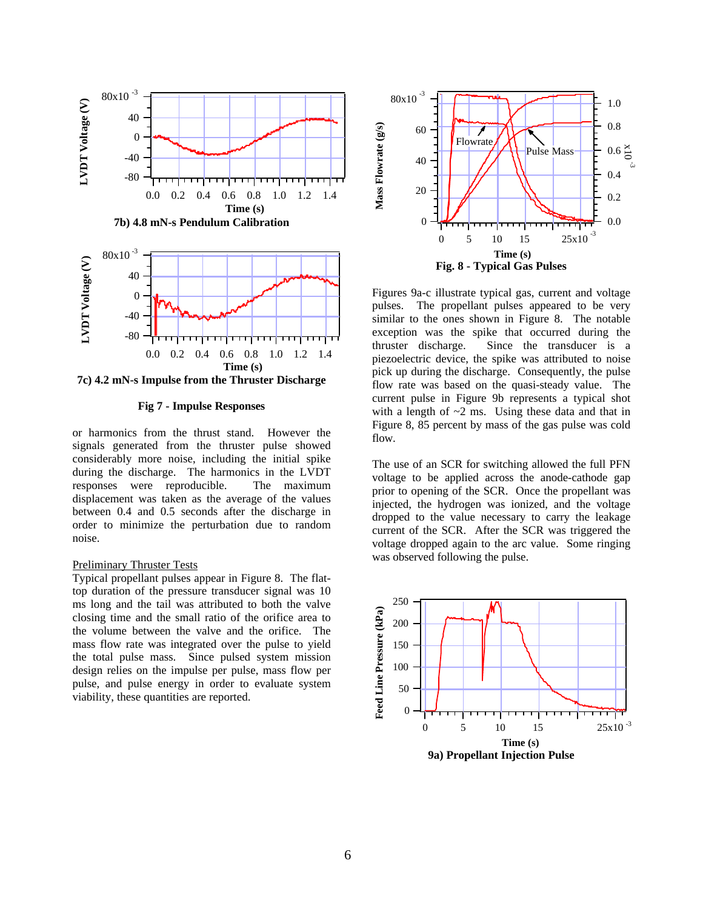



**Fig 7 - Impulse Responses**

or harmonics from the thrust stand. However the signals generated from the thruster pulse showed considerably more noise, including the initial spike during the discharge. The harmonics in the LVDT responses were reproducible. The maximum displacement was taken as the average of the values between 0.4 and 0.5 seconds after the discharge in order to minimize the perturbation due to random noise.

### Preliminary Thruster Tests

Typical propellant pulses appear in Figure 8. The flattop duration of the pressure transducer signal was 10 ms long and the tail was attributed to both the valve closing time and the small ratio of the orifice area to the volume between the valve and the orifice. The mass flow rate was integrated over the pulse to yield the total pulse mass. Since pulsed system mission design relies on the impulse per pulse, mass flow per pulse, and pulse energy in order to evaluate system viability, these quantities are reported.



Figures 9a-c illustrate typical gas, current and voltage pulses. The propellant pulses appeared to be very similar to the ones shown in Figure 8. The notable exception was the spike that occurred during the thruster discharge. Since the transducer is a piezoelectric device, the spike was attributed to noise pick up during the discharge. Consequently, the pulse flow rate was based on the quasi-steady value. The current pulse in Figure 9b represents a typical shot with a length of  $\sim$ 2 ms. Using these data and that in Figure 8, 85 percent by mass of the gas pulse was cold flow.

The use of an SCR for switching allowed the full PFN voltage to be applied across the anode-cathode gap prior to opening of the SCR. Once the propellant was injected, the hydrogen was ionized, and the voltage dropped to the value necessary to carry the leakage current of the SCR. After the SCR was triggered the voltage dropped again to the arc value. Some ringing was observed following the pulse.

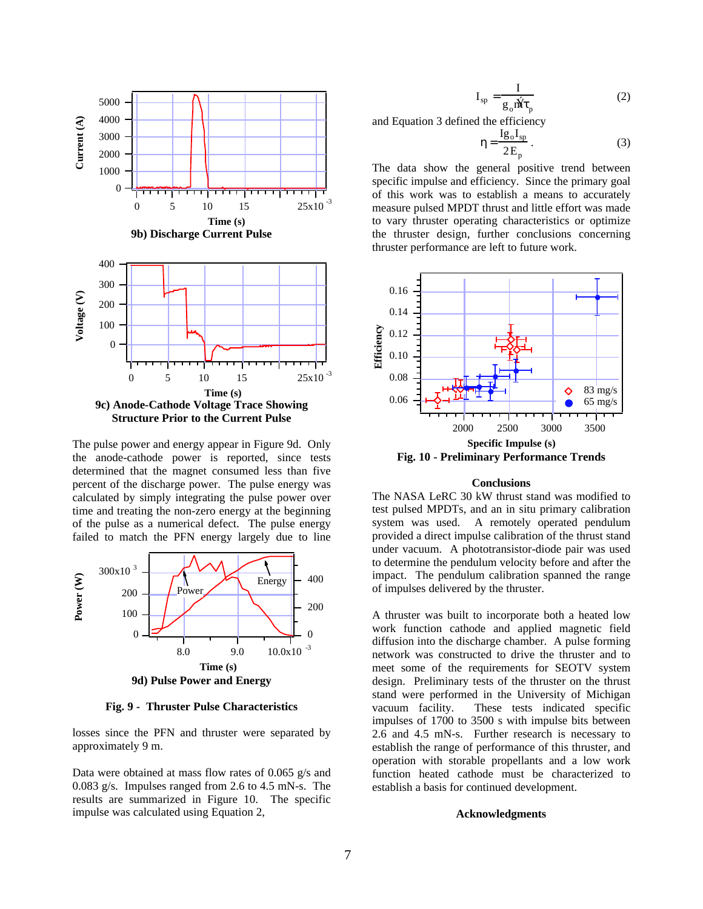

The pulse power and energy appear in Figure 9d. Only the anode-cathode power is reported, since tests determined that the magnet consumed less than five percent of the discharge power. The pulse energy was calculated by simply integrating the pulse power over time and treating the non-zero energy at the beginning of the pulse as a numerical defect. The pulse energy failed to match the PFN energy largely due to line



**Fig. 9 - Thruster Pulse Characteristics**

losses since the PFN and thruster were separated by approximately 9 m.

Data were obtained at mass flow rates of 0.065 g/s and 0.083 g/s. Impulses ranged from 2.6 to 4.5 mN-s. The results are summarized in Figure 10. The specific impulse was calculated using Equation 2,

$$
I_{sp} = \frac{I}{g_o \hat{M} \tau_p}
$$
 (2)

and Equation 3 defined the efficiency

$$
\eta = \frac{Ig_0 I_{sp}}{2E_p} \,. \tag{3}
$$

The data show the general positive trend between specific impulse and efficiency. Since the primary goal of this work was to establish a means to accurately measure pulsed MPDT thrust and little effort was made to vary thruster operating characteristics or optimize the thruster design, further conclusions concerning thruster performance are left to future work.



### **Conclusions**

The NASA LeRC 30 kW thrust stand was modified to test pulsed MPDTs, and an in situ primary calibration system was used. A remotely operated pendulum provided a direct impulse calibration of the thrust stand under vacuum. A phototransistor-diode pair was used to determine the pendulum velocity before and after the impact. The pendulum calibration spanned the range of impulses delivered by the thruster.

A thruster was built to incorporate both a heated low work function cathode and applied magnetic field diffusion into the discharge chamber. A pulse forming network was constructed to drive the thruster and to meet some of the requirements for SEOTV system design. Preliminary tests of the thruster on the thrust stand were performed in the University of Michigan vacuum facility. These tests indicated specific impulses of 1700 to 3500 s with impulse bits between 2.6 and 4.5 mN-s. Further research is necessary to establish the range of performance of this thruster, and operation with storable propellants and a low work function heated cathode must be characterized to establish a basis for continued development.

#### **Acknowledgments**